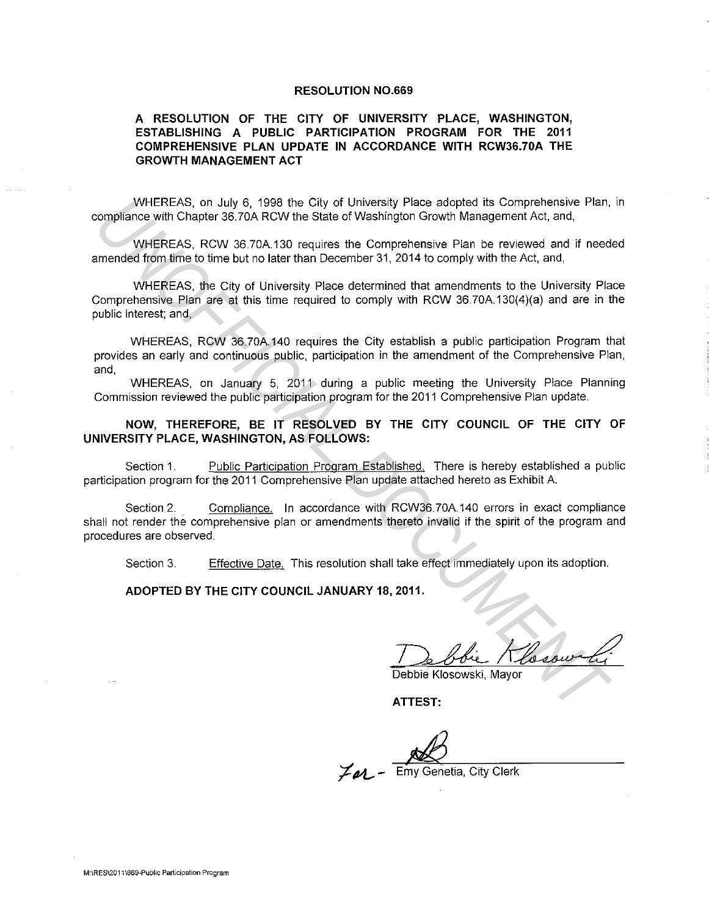## **RESOLUTION N0.669**

## **A RESOLUTION OF THE CITY OF UNIVERSITY PLACE, WASHINGTON, ESTABLISHING A PUBLIC PARTICIPATION PROGRAM FOR THE 2011 COMPREHENSIVE PLAN UPDATE IN ACCORDANCE WITH RCW36.70A THE GROWTH MANAGEMENT ACT**

WHEREAS, on July 6, 1998 the City of University Place adopted its Comprehensive Plan, in compliance with Chapter 36. 70A RCW the State of Washington Growth Management Act, and,

WHEREAS, RCW 36.70A.130 requires the Comprehensive Plan be reviewed and if needed amended from time to time but no later than December 31, 2014 to comply with the Act, and,

WHEREAS, the City of University Place determined that amendments to the University Place Comprehensive Plan are at this time required to comply with RCW 36.70A.130(4)(a) and are in the public interest; and, WHEREAS, on July 6, 1998 the City of University Pleab adopted its Comprehensive Plan,<br>
WHEREAS, RCW 36.70A 130 requires the Comprehensive Plan be reviewed and if mediateral properties.<br>
WHEREAS, RCW 36.70A 130 requires the

WHEREAS, RCW 36.70A.140 requires the City establish a public participation Program that provides an early and continuous public, participation in the amendment of the Comprehensive Plan, and,

WHEREAS, on January 5, 2011 during a public meeting the University Place Planning Commission reviewed the public participation program for the 2011 Comprehensive Plan update.

**NOW, THEREFORE, BE IT RESOLVED BY THE CITY COUNCIL OF THE CITY OF UNIVERSITY PLACE, WASHINGTON, AS FOLLOWS:** 

Section 1. Public Participation Program Established. There is hereby established a public participation program for the 2011 Comprehensive Plan update attached hereto as Exhibit A.

Section 2. Compliance. In accordance with RCW36.70A.140 errors in exact compliance shall not render the comprehensive plan or amendments thereto invalid if the spirit of the program and procedures are observed.

Section 3. Effective Date. This resolution shall take effect immediately upon its adoption.

**ADOPTED BY THE CITY COUNCIL JANUARY 18, 2011.** 

De blie Klesswin

Debbie Klosowski, Mavor

**ATTEST:** 

 $Z_{\ell\ell}$  - Emy Genetia, City Clerk